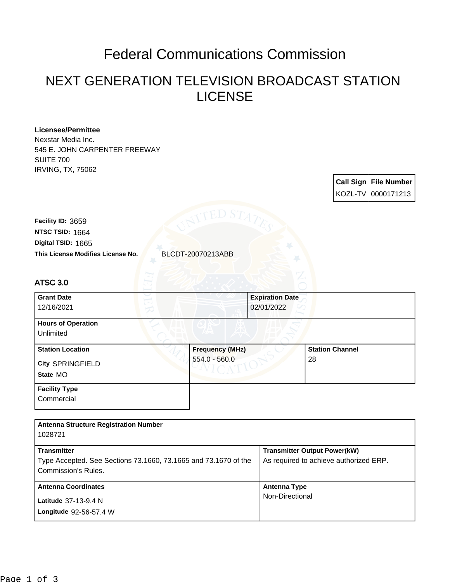## Federal Communications Commission

## NEXT GENERATION TELEVISION BROADCAST STATION LICENSE

| <b>Licensee/Permittee</b><br>Nexstar Media Inc.                                               |                        |                        |                                        |  |  |
|-----------------------------------------------------------------------------------------------|------------------------|------------------------|----------------------------------------|--|--|
| 545 E. JOHN CARPENTER FREEWAY                                                                 |                        |                        |                                        |  |  |
| <b>SUITE 700</b><br><b>IRVING, TX, 75062</b>                                                  |                        |                        |                                        |  |  |
|                                                                                               |                        |                        |                                        |  |  |
|                                                                                               |                        |                        | <b>Call Sign File Number</b>           |  |  |
|                                                                                               |                        |                        | KOZL-TV 0000171213                     |  |  |
|                                                                                               | ED S7                  |                        |                                        |  |  |
| Facility ID: 3659                                                                             |                        |                        |                                        |  |  |
| NTSC TSID: 1664                                                                               |                        |                        |                                        |  |  |
| Digital TSID: 1665                                                                            |                        |                        |                                        |  |  |
| This License Modifies License No.                                                             | BLCDT-20070213ABB      |                        |                                        |  |  |
|                                                                                               |                        |                        |                                        |  |  |
| <b>ATSC 3.0</b>                                                                               |                        |                        |                                        |  |  |
| <b>Grant Date</b>                                                                             |                        | <b>Expiration Date</b> |                                        |  |  |
| 12/16/2021                                                                                    |                        | 02/01/2022             |                                        |  |  |
| <b>Hours of Operation</b>                                                                     |                        |                        |                                        |  |  |
| Unlimited                                                                                     |                        |                        |                                        |  |  |
| <b>Station Location</b>                                                                       | <b>Frequency (MHz)</b> |                        | <b>Station Channel</b>                 |  |  |
| City SPRINGFIELD                                                                              | $554.0 - 560.0$        |                        | 28                                     |  |  |
| State MO                                                                                      |                        |                        |                                        |  |  |
|                                                                                               |                        |                        |                                        |  |  |
| <b>Facility Type</b><br>Commercial                                                            |                        |                        |                                        |  |  |
|                                                                                               |                        |                        |                                        |  |  |
|                                                                                               |                        |                        |                                        |  |  |
| <b>Antenna Structure Registration Number</b>                                                  |                        |                        |                                        |  |  |
| 1028721                                                                                       |                        |                        |                                        |  |  |
| <b>Transmitter</b>                                                                            |                        |                        | <b>Transmitter Output Power(kW)</b>    |  |  |
| Type Accepted. See Sections 73.1660, 73.1665 and 73.1670 of the<br><b>Commission's Rules.</b> |                        |                        | As required to achieve authorized ERP. |  |  |
| <b>Antenna Coordinates</b>                                                                    |                        | <b>Antenna Type</b>    |                                        |  |  |

Non-Directional

**Longitude** 92-56-57.4 W **Latitude** 37-13-9.4 N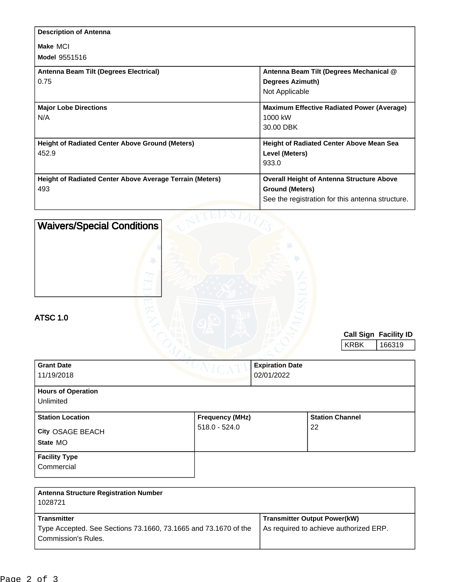| <b>Description of Antenna</b>                                   |                                                   |
|-----------------------------------------------------------------|---------------------------------------------------|
| Make MCI                                                        |                                                   |
| <b>Model 9551516</b>                                            |                                                   |
| Antenna Beam Tilt (Degrees Electrical)                          | Antenna Beam Tilt (Degrees Mechanical @           |
| 0.75                                                            | <b>Degrees Azimuth)</b>                           |
|                                                                 | Not Applicable                                    |
| <b>Major Lobe Directions</b>                                    | <b>Maximum Effective Radiated Power (Average)</b> |
| N/A                                                             | 1000 kW                                           |
|                                                                 | 30.00 DBK                                         |
| <b>Height of Radiated Center Above Ground (Meters)</b>          | <b>Height of Radiated Center Above Mean Sea</b>   |
| 452.9                                                           | Level (Meters)                                    |
|                                                                 | 933.0                                             |
| <b>Height of Radiated Center Above Average Terrain (Meters)</b> | <b>Overall Height of Antenna Structure Above</b>  |
| 493                                                             | <b>Ground (Meters)</b>                            |
|                                                                 | See the registration for this antenna structure.  |
| .                                                               |                                                   |

| <b>Waivers/Special Conditions</b>                       |                        |                        |                        |             |                       |
|---------------------------------------------------------|------------------------|------------------------|------------------------|-------------|-----------------------|
| <b>ATSC 1.0</b>                                         |                        |                        |                        |             |                       |
|                                                         |                        |                        |                        |             | Call Sign Facility ID |
|                                                         |                        |                        |                        | <b>KRBK</b> | 166319                |
| <b>Grant Date</b>                                       |                        | <b>Expiration Date</b> |                        |             |                       |
| 11/19/2018                                              |                        | 02/01/2022             |                        |             |                       |
| <b>Hours of Operation</b><br>Unlimited                  |                        |                        |                        |             |                       |
| <b>Station Location</b>                                 | <b>Frequency (MHz)</b> |                        | <b>Station Channel</b> |             |                       |
| City OSAGE BEACH                                        | $518.0 - 524.0$        |                        | 22                     |             |                       |
| State MO                                                |                        |                        |                        |             |                       |
| <b>Facility Type</b>                                    |                        |                        |                        |             |                       |
| Commercial                                              |                        |                        |                        |             |                       |
| <b>Antenna Structure Registration Number</b><br>1028721 |                        |                        |                        |             |                       |

| 1028721                                                                                |                                        |
|----------------------------------------------------------------------------------------|----------------------------------------|
| <b>Transmitter</b>                                                                     | <b>Transmitter Output Power(kW)</b>    |
| Type Accepted. See Sections 73.1660, 73.1665 and 73.1670 of the<br>Commission's Rules. | As required to achieve authorized ERP. |